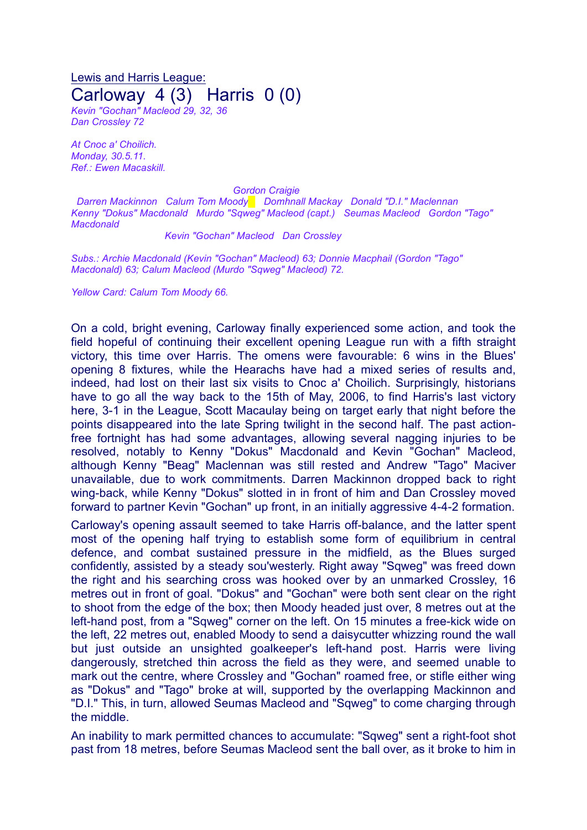Lewis and Harris League: Carloway 4 (3) Harris 0 (0)

*Kevin "Gochan" Macleod 29, 32, 36 Dan Crossley 72*

*At Cnoc a' Choilich. Monday, 30.5.11. Ref.: Ewen Macaskill.*

*Gordon Craigie*

*Darren Mackinnon Calum Tom Moody█ Domhnall Mackay Donald "D.I." Maclennan Kenny "Dokus" Macdonald Murdo "Sqweg" Macleod (capt.) Seumas Macleod Gordon "Tago" Macdonald*

*Kevin "Gochan" Macleod Dan Crossley*

*Subs.: Archie Macdonald (Kevin "Gochan" Macleod) 63; Donnie Macphail (Gordon "Tago" Macdonald) 63; Calum Macleod (Murdo "Sqweg" Macleod) 72.*

*Yellow Card: Calum Tom Moody 66.*

On a cold, bright evening, Carloway finally experienced some action, and took the field hopeful of continuing their excellent opening League run with a fifth straight victory, this time over Harris. The omens were favourable: 6 wins in the Blues' opening 8 fixtures, while the Hearachs have had a mixed series of results and, indeed, had lost on their last six visits to Cnoc a' Choilich. Surprisingly, historians have to go all the way back to the 15th of May, 2006, to find Harris's last victory here, 3-1 in the League, Scott Macaulay being on target early that night before the points disappeared into the late Spring twilight in the second half. The past actionfree fortnight has had some advantages, allowing several nagging injuries to be resolved, notably to Kenny "Dokus" Macdonald and Kevin "Gochan" Macleod, although Kenny "Beag" Maclennan was still rested and Andrew "Tago" Maciver unavailable, due to work commitments. Darren Mackinnon dropped back to right wing-back, while Kenny "Dokus" slotted in in front of him and Dan Crossley moved forward to partner Kevin "Gochan" up front, in an initially aggressive 4-4-2 formation.

Carloway's opening assault seemed to take Harris off-balance, and the latter spent most of the opening half trying to establish some form of equilibrium in central defence, and combat sustained pressure in the midfield, as the Blues surged confidently, assisted by a steady sou'westerly. Right away "Sqweg" was freed down the right and his searching cross was hooked over by an unmarked Crossley, 16 metres out in front of goal. "Dokus" and "Gochan" were both sent clear on the right to shoot from the edge of the box; then Moody headed just over, 8 metres out at the left-hand post, from a "Sqweg" corner on the left. On 15 minutes a free-kick wide on the left, 22 metres out, enabled Moody to send a daisycutter whizzing round the wall but just outside an unsighted goalkeeper's left-hand post. Harris were living dangerously, stretched thin across the field as they were, and seemed unable to mark out the centre, where Crossley and "Gochan" roamed free, or stifle either wing as "Dokus" and "Tago" broke at will, supported by the overlapping Mackinnon and "D.I." This, in turn, allowed Seumas Macleod and "Sqweg" to come charging through the middle.

An inability to mark permitted chances to accumulate: "Sqweg" sent a right-foot shot past from 18 metres, before Seumas Macleod sent the ball over, as it broke to him in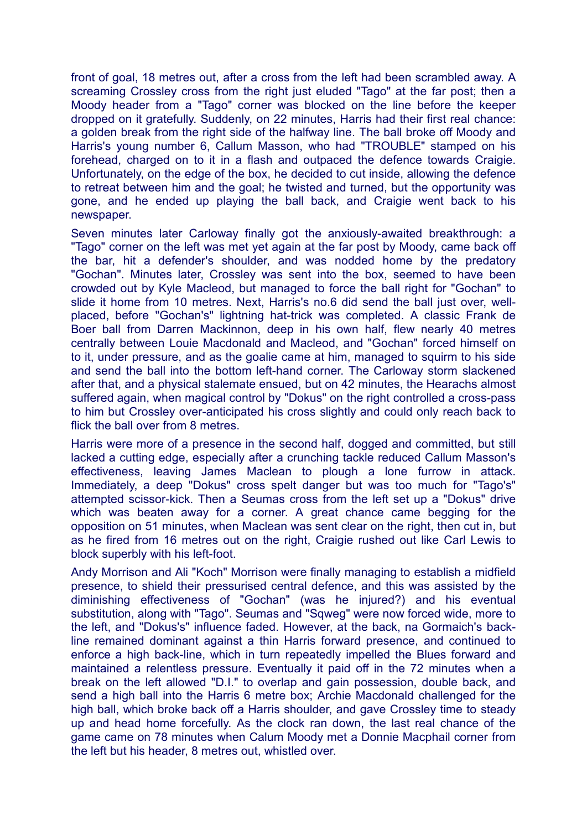front of goal, 18 metres out, after a cross from the left had been scrambled away. A screaming Crossley cross from the right just eluded "Tago" at the far post; then a Moody header from a "Tago" corner was blocked on the line before the keeper dropped on it gratefully. Suddenly, on 22 minutes, Harris had their first real chance: a golden break from the right side of the halfway line. The ball broke off Moody and Harris's young number 6, Callum Masson, who had "TROUBLE" stamped on his forehead, charged on to it in a flash and outpaced the defence towards Craigie. Unfortunately, on the edge of the box, he decided to cut inside, allowing the defence to retreat between him and the goal; he twisted and turned, but the opportunity was gone, and he ended up playing the ball back, and Craigie went back to his newspaper.

Seven minutes later Carloway finally got the anxiously-awaited breakthrough: a "Tago" corner on the left was met yet again at the far post by Moody, came back off the bar, hit a defender's shoulder, and was nodded home by the predatory "Gochan". Minutes later, Crossley was sent into the box, seemed to have been crowded out by Kyle Macleod, but managed to force the ball right for "Gochan" to slide it home from 10 metres. Next, Harris's no.6 did send the ball just over, wellplaced, before "Gochan's" lightning hat-trick was completed. A classic Frank de Boer ball from Darren Mackinnon, deep in his own half, flew nearly 40 metres centrally between Louie Macdonald and Macleod, and "Gochan" forced himself on to it, under pressure, and as the goalie came at him, managed to squirm to his side and send the ball into the bottom left-hand corner. The Carloway storm slackened after that, and a physical stalemate ensued, but on 42 minutes, the Hearachs almost suffered again, when magical control by "Dokus" on the right controlled a cross-pass to him but Crossley over-anticipated his cross slightly and could only reach back to flick the ball over from 8 metres.

Harris were more of a presence in the second half, dogged and committed, but still lacked a cutting edge, especially after a crunching tackle reduced Callum Masson's effectiveness, leaving James Maclean to plough a lone furrow in attack. Immediately, a deep "Dokus" cross spelt danger but was too much for "Tago's" attempted scissor-kick. Then a Seumas cross from the left set up a "Dokus" drive which was beaten away for a corner. A great chance came begging for the opposition on 51 minutes, when Maclean was sent clear on the right, then cut in, but as he fired from 16 metres out on the right, Craigie rushed out like Carl Lewis to block superbly with his left-foot.

Andy Morrison and Ali "Koch" Morrison were finally managing to establish a midfield presence, to shield their pressurised central defence, and this was assisted by the diminishing effectiveness of "Gochan" (was he injured?) and his eventual substitution, along with "Tago". Seumas and "Sqweg" were now forced wide, more to the left, and "Dokus's" influence faded. However, at the back, na Gormaich's backline remained dominant against a thin Harris forward presence, and continued to enforce a high back-line, which in turn repeatedly impelled the Blues forward and maintained a relentless pressure. Eventually it paid off in the 72 minutes when a break on the left allowed "D.I." to overlap and gain possession, double back, and send a high ball into the Harris 6 metre box; Archie Macdonald challenged for the high ball, which broke back off a Harris shoulder, and gave Crossley time to steady up and head home forcefully. As the clock ran down, the last real chance of the game came on 78 minutes when Calum Moody met a Donnie Macphail corner from the left but his header, 8 metres out, whistled over.